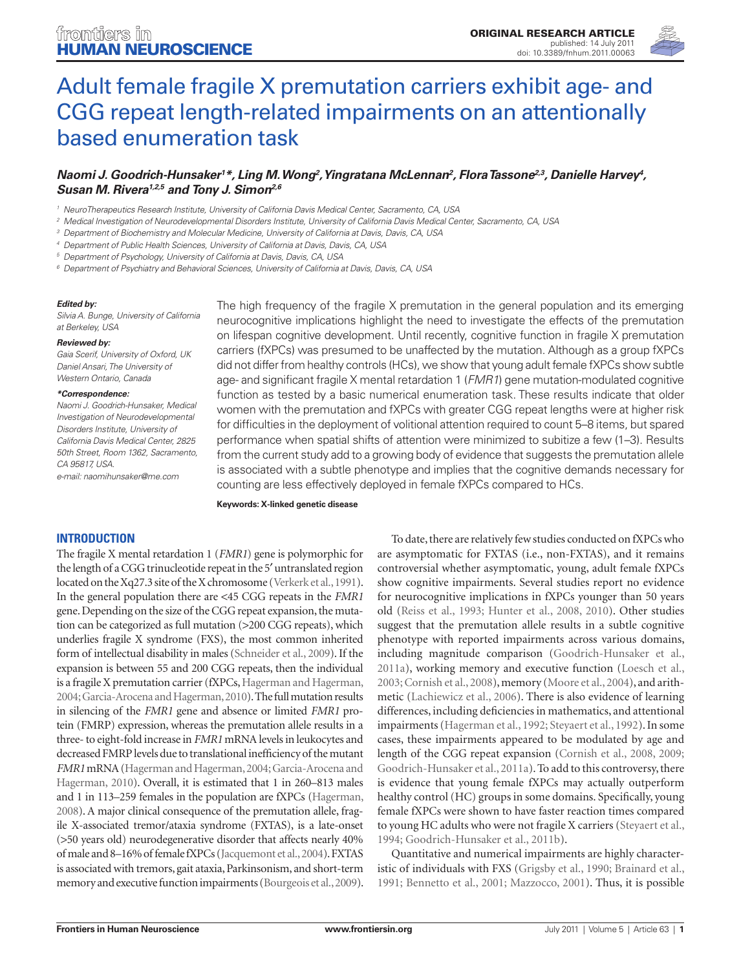

# [Adult female fragile X premutation carriers exhibit age- and](http://www.frontiersin.org/human_neuroscience/10.3389/fnhum.2011.00063/abstract)  [CGG repeat length-related impairments on an attentionally](http://www.frontiersin.org/human_neuroscience/10.3389/fnhum.2011.00063/abstract)  [based enumeration task](http://www.frontiersin.org/human_neuroscience/10.3389/fnhum.2011.00063/abstract)

#### *[Naomi J. Goodrich-Hunsaker](http://www.frontiersin.org/people/naomigoodrich_hunsaker/30332)1 \*, Ling M. Wong2 , Yingratana McLennan2 , Flora Tassone2,3, Danielle Harvey4 , [Susan M. Rivera](http://www.frontiersin.org/people/susanrivera/7077)1,2,5 and [Tony J. Simon](http://www.frontiersin.org/people/tonysimon/14714)2,6*

- *<sup>1</sup> NeuroTherapeutics Research Institute, University of California Davis Medical Center, Sacramento, CA, USA*
- *<sup>2</sup> Medical Investigation of Neurodevelopmental Disorders Institute, University of California Davis Medical Center, Sacramento, CA, USA*
- *<sup>3</sup> Department of Biochemistry and Molecular Medicine, University of California at Davis, Davis, CA, USA*
- *<sup>4</sup> Department of Public Health Sciences, University of California at Davis, Davis, CA, USA*
- *<sup>5</sup> Department of Psychology, University of California at Davis, Davis, CA, USA*
- *<sup>6</sup> Department of Psychiatry and Behavioral Sciences, University of California at Davis, Davis, CA, USA*

#### *Edited by:*

*Silvia A. Bunge, University of California at Berkeley, USA*

#### *Reviewed by:*

*Gaia Scerif, University of Oxford, UK Daniel Ansari, The University of Western Ontario, Canada*

#### *\*Correspondence:*

*Naomi J. Goodrich-Hunsaker, Medical Investigation of Neurodevelopmental Disorders Institute, University of California Davis Medical Center, 2825 50th Street, Room 1362, Sacramento, CA 95817, USA. e-mail: naomihunsaker@me.com*

The high frequency of the fragile X premutation in the general population and its emerging neurocognitive implications highlight the need to investigate the effects of the premutation on lifespan cognitive development. Until recently, cognitive function in fragile X premutation carriers (fXPCs) was presumed to be unaffected by the mutation. Although as a group fXPCs did not differ from healthy controls (HCs), we show that young adult female fXPCs show subtle age- and significant fragile X mental retardation 1 (*FMR1*) gene mutation-modulated cognitive function as tested by a basic numerical enumeration task. These results indicate that older women with the premutation and fXPCs with greater CGG repeat lengths were at higher risk for difficulties in the deployment of volitional attention required to count 5–8 items, but spared performance when spatial shifts of attention were minimized to subitize a few (1–3). Results from the current study add to a growing body of evidence that suggests the premutation allele is associated with a subtle phenotype and implies that the cognitive demands necessary for counting are less effectively deployed in female fXPCs compared to HCs.

**Keywords: X-linked genetic disease**

#### **INTRODUCTION**

The fragile X mental retardation 1 (*FMR1*) gene is polymorphic for the length of a CGG trinucleotide repeat in the 5′ untranslated region located on the Xq27.3 site of the X chromosome (Verkerk et al., 1991). In the general population there are <45 CGG repeats in the *FMR1* gene. Depending on the size of the CGG repeat expansion, the mutation can be categorized as full mutation (>200 CGG repeats), which underlies fragile X syndrome (FXS), the most common inherited form of intellectual disability in males (Schneider et al., 2009). If the expansion is between 55 and 200 CGG repeats, then the individual is a fragile X premutation carrier (fXPCs, Hagerman and Hagerman, 2004; Garcia-Arocena and Hagerman, 2010). The full mutation results in silencing of the *FMR1* gene and absence or limited *FMR1* protein (FMRP) expression, whereas the premutation allele results in a three- to eight-fold increase in *FMR1* mRNA levels in leukocytes and decreased FMRP levels due to translational inefficiency of the mutant *FMR1* mRNA (Hagerman and Hagerman, 2004; Garcia-Arocena and Hagerman, 2010). Overall, it is estimated that 1 in 260–813 males and 1 in 113–259 females in the population are fXPCs (Hagerman, 2008). A major clinical consequence of the premutation allele, fragile X-associated tremor/ataxia syndrome (FXTAS), is a late-onset (>50 years old) neurodegenerative disorder that affects nearly 40% of male and 8–16% of female fXPCs (Jacquemont et al., 2004). FXTAS is associated with tremors, gait ataxia, Parkinsonism, and short-term memory and executive function impairments (Bourgeois et al., 2009).

To date, there are relatively few studies conducted on fXPCs who are asymptomatic for FXTAS (i.e., non-FXTAS), and it remains controversial whether asymptomatic, young, adult female fXPCs show cognitive impairments. Several studies report no evidence for neurocognitive implications in fXPCs younger than 50 years old (Reiss et al., 1993; Hunter et al., 2008, 2010). Other studies suggest that the premutation allele results in a subtle cognitive phenotype with reported impairments across various domains, including magnitude comparison (Goodrich-Hunsaker et al., 2011a), working memory and executive function (Loesch et al., 2003; Cornish et al., 2008), memory (Moore et al., 2004), and arithmetic (Lachiewicz et al., 2006). There is also evidence of learning differences, including deficiencies in mathematics, and attentional impairments (Hagerman et al., 1992; Steyaert et al., 1992). In some cases, these impairments appeared to be modulated by age and length of the CGG repeat expansion (Cornish et al., 2008, 2009; Goodrich-Hunsaker et al., 2011a). To add to this controversy, there is evidence that young female fXPCs may actually outperform healthy control (HC) groups in some domains. Specifically, young female fXPCs were shown to have faster reaction times compared to young HC adults who were not fragile X carriers (Steyaert et al., 1994; Goodrich-Hunsaker et al., 2011b).

Quantitative and numerical impairments are highly characteristic of individuals with FXS (Grigsby et al., 1990; Brainard et al., 1991; Bennetto et al., 2001; Mazzocco, 2001). Thus, it is possible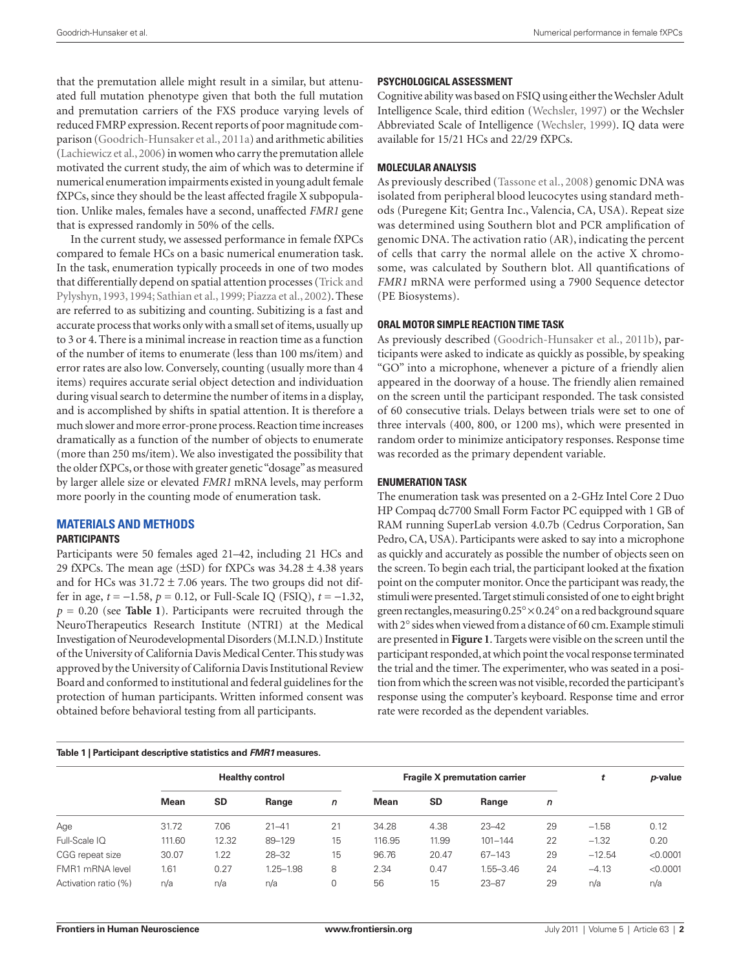that the premutation allele might result in a similar, but attenuated full mutation phenotype given that both the full mutation and premutation carriers of the FXS produce varying levels of reduced FMRP expression. Recent reports of poor magnitude comparison (Goodrich-Hunsaker et al., 2011a) and arithmetic abilities (Lachiewicz et al., 2006) in women who carry the premutation allele motivated the current study, the aim of which was to determine if numerical enumeration impairments existed in young adult female fXPCs, since they should be the least affected fragile X subpopulation. Unlike males, females have a second, unaffected *FMR1* gene that is expressed randomly in 50% of the cells.

In the current study, we assessed performance in female fXPCs compared to female HCs on a basic numerical enumeration task. In the task, enumeration typically proceeds in one of two modes that differentially depend on spatial attention processes (Trick and Pylyshyn, 1993, 1994; Sathian et al., 1999; Piazza et al., 2002). These are referred to as subitizing and counting. Subitizing is a fast and accurate process that works only with a small set of items, usually up to 3 or 4. There is a minimal increase in reaction time as a function of the number of items to enumerate (less than 100 ms/item) and error rates are also low. Conversely, counting (usually more than 4 items) requires accurate serial object detection and individuation during visual search to determine the number of items in a display, and is accomplished by shifts in spatial attention. It is therefore a much slower and more error-prone process. Reaction time increases dramatically as a function of the number of objects to enumerate (more than 250 ms/item). We also investigated the possibility that the older fXPCs, or those with greater genetic "dosage" as measured by larger allele size or elevated *FMR1* mRNA levels, may perform more poorly in the counting mode of enumeration task.

## **MATERIALS AND METHODS**

#### **Participants**

Participants were 50 females aged 21–42, including 21 HCs and 29 fXPCs. The mean age  $(\pm SD)$  for fXPCs was 34.28  $\pm$  4.38 years and for HCs was  $31.72 \pm 7.06$  years. The two groups did not differ in age, *t* = −1.58, *p* = 0.12, or Full-Scale IQ (FSIQ), *t* = −1.32, *p* = 0.20 (see **Table 1**). Participants were recruited through the NeuroTherapeutics Research Institute (NTRI) at the Medical Investigation of Neurodevelopmental Disorders (M.I.N.D.) Institute of the University of California Davis Medical Center. This study was approved by the University of California Davis Institutional Review Board and conformed to institutional and federal guidelines for the protection of human participants. Written informed consent was obtained before behavioral testing from all participants.

**Table 1 | Participant descriptive statistics and** *FMR1* **measures.**

#### **Psychological Assessment**

Cognitive ability was based on FSIQ using either the Wechsler Adult Intelligence Scale, third edition (Wechsler, 1997) or the Wechsler Abbreviated Scale of Intelligence (Wechsler, 1999). IQ data were available for 15/21 HCs and 22/29 fXPCs.

#### **Molecular Analysis**

As previously described (Tassone et al., 2008) genomic DNA was isolated from peripheral blood leucocytes using standard methods (Puregene Kit; Gentra Inc., Valencia, CA, USA). Repeat size was determined using Southern blot and PCR amplification of genomic DNA. The activation ratio (AR), indicating the percent of cells that carry the normal allele on the active X chromosome, was calculated by Southern blot. All quantifications of *FMR1* mRNA were performed using a 7900 Sequence detector (PE Biosystems).

#### **Oral Motor Simple Reaction Time Task**

As previously described (Goodrich-Hunsaker et al., 2011b), participants were asked to indicate as quickly as possible, by speaking "GO" into a microphone, whenever a picture of a friendly alien appeared in the doorway of a house. The friendly alien remained on the screen until the participant responded. The task consisted of 60 consecutive trials. Delays between trials were set to one of three intervals (400, 800, or 1200 ms), which were presented in random order to minimize anticipatory responses. Response time was recorded as the primary dependent variable.

#### **Enumeration Task**

The enumeration task was presented on a 2-GHz Intel Core 2 Duo HP Compaq dc7700 Small Form Factor PC equipped with 1 GB of RAM running SuperLab version 4.0.7b (Cedrus Corporation, San Pedro, CA, USA). Participants were asked to say into a microphone as quickly and accurately as possible the number of objects seen on the screen. To begin each trial, the participant looked at the fixation point on the computer monitor. Once the participant was ready, the stimuli were presented. Target stimuli consisted of one to eight bright green rectangles, measuring 0.25°×0.24° on a red background square with 2° sides when viewed from a distance of 60 cm. Example stimuli are presented in **Figure 1**. Targets were visible on the screen until the participant responded, at which point the vocal response terminated the trial and the timer. The experimenter, who was seated in a position from which the screen was not visible, recorded the participant's response using the computer's keyboard. Response time and error rate were recorded as the dependent variables.

|                      | <b>Healthy control</b> |           |               |    | <b>Fragile X premutation carrier</b> |           |               |    | t        | p-value  |  |  |
|----------------------|------------------------|-----------|---------------|----|--------------------------------------|-----------|---------------|----|----------|----------|--|--|
|                      | <b>Mean</b>            | <b>SD</b> | Range         | n  | <b>Mean</b>                          | <b>SD</b> | Range         | n  |          |          |  |  |
| Age                  | 31.72                  | 7.06      | $21 - 41$     | 21 | 34.28                                | 4.38      | $23 - 42$     | 29 | $-1.58$  | 0.12     |  |  |
| Full-Scale IQ        | 111.60                 | 12.32     | 89-129        | 15 | 116.95                               | 11.99     | $101 - 144$   | 22 | $-1.32$  | 0.20     |  |  |
| CGG repeat size      | 30.07                  | 1.22      | $28 - 32$     | 15 | 96.76                                | 20.47     | 67-143        | 29 | $-12.54$ | < 0.0001 |  |  |
| FMR1 mRNA level      | 1.61                   | 0.27      | $1.25 - 1.98$ | 8  | 2.34                                 | 0.47      | $1.55 - 3.46$ | 24 | $-4.13$  | < 0.0001 |  |  |
| Activation ratio (%) | n/a                    | n/a       | n/a           | 0  | 56                                   | 15        | $23 - 87$     | 29 | n/a      | n/a      |  |  |
|                      |                        |           |               |    |                                      |           |               |    |          |          |  |  |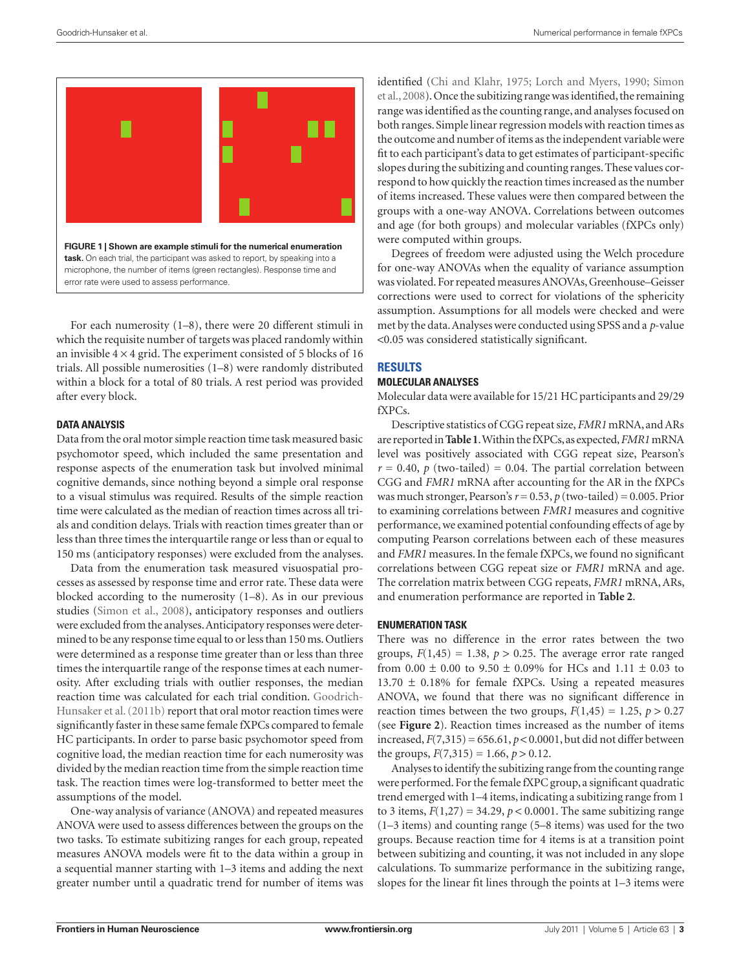

For each numerosity (1–8), there were 20 different stimuli in which the requisite number of targets was placed randomly within an invisible  $4 \times 4$  grid. The experiment consisted of 5 blocks of 16 trials. All possible numerosities (1–8) were randomly distributed within a block for a total of 80 trials. A rest period was provided after every block.

#### **Data Analysis**

Data from the oral motor simple reaction time task measured basic psychomotor speed, which included the same presentation and response aspects of the enumeration task but involved minimal cognitive demands, since nothing beyond a simple oral response to a visual stimulus was required. Results of the simple reaction time were calculated as the median of reaction times across all trials and condition delays. Trials with reaction times greater than or less than three times the interquartile range or less than or equal to 150 ms (anticipatory responses) were excluded from the analyses.

Data from the enumeration task measured visuospatial processes as assessed by response time and error rate. These data were blocked according to the numerosity (1–8). As in our previous studies (Simon et al., 2008), anticipatory responses and outliers were excluded from the analyses. Anticipatory responses were determined to be any response time equal to or less than 150 ms. Outliers were determined as a response time greater than or less than three times the interquartile range of the response times at each numerosity. After excluding trials with outlier responses, the median reaction time was calculated for each trial condition. Goodrich-Hunsaker et al. (2011b) report that oral motor reaction times were significantly faster in these same female fXPCs compared to female HC participants. In order to parse basic psychomotor speed from cognitive load, the median reaction time for each numerosity was divided by the median reaction time from the simple reaction time task. The reaction times were log-transformed to better meet the assumptions of the model.

One-way analysis of variance (ANOVA) and repeated measures ANOVA were used to assess differences between the groups on the two tasks. To estimate subitizing ranges for each group, repeated measures ANOVA models were fit to the data within a group in a sequential manner starting with 1–3 items and adding the next greater number until a quadratic trend for number of items was identified (Chi and Klahr, 1975; Lorch and Myers, 1990; Simon et al., 2008). Once the subitizing range was identified, the remaining range was identified as the counting range, and analyses focused on both ranges. Simple linear regression models with reaction times as the outcome and number of items as the independent variable were fit to each participant's data to get estimates of participant-specific slopes during the subitizing and counting ranges. These values correspond to how quickly the reaction times increased as the number of items increased. These values were then compared between the groups with a one-way ANOVA. Correlations between outcomes and age (for both groups) and molecular variables (fXPCs only) were computed within groups.

Degrees of freedom were adjusted using the Welch procedure for one-way ANOVAs when the equality of variance assumption was violated. For repeated measures ANOVAs, Greenhouse–Geisser corrections were used to correct for violations of the sphericity assumption. Assumptions for all models were checked and were met by the data. Analyses were conducted using SPSS and a *p*-value <0.05 was considered statistically significant.

# **RESULTS**

# **Molecular Analyses**

Molecular data were available for 15/21 HC participants and 29/29 fXPCs.

Descriptive statistics of CGG repeat size, *FMR1* mRNA, and ARs are reported in **Table1**. Within the fXPCs, as expected, *FMR1* mRNA level was positively associated with CGG repeat size, Pearson's  $r = 0.40$ , *p* (two-tailed) = 0.04. The partial correlation between CGG and *FMR1* mRNA after accounting for the AR in the fXPCs was much stronger, Pearson's  $r = 0.53$ ,  $p$  (two-tailed) = 0.005. Prior to examining correlations between *FMR1* measures and cognitive performance, we examined potential confounding effects of age by computing Pearson correlations between each of these measures and *FMR1* measures. In the female fXPCs, we found no significant correlations between CGG repeat size or *FMR1* mRNA and age. The correlation matrix between CGG repeats, *FMR1* mRNA, ARs, and enumeration performance are reported in **Table 2**.

#### **Enumeration Task**

There was no difference in the error rates between the two groups,  $F(1,45) = 1.38$ ,  $p > 0.25$ . The average error rate ranged from  $0.00 \pm 0.00$  to  $9.50 \pm 0.09\%$  for HCs and  $1.11 \pm 0.03$  to  $13.70 \pm 0.18\%$  for female fXPCs. Using a repeated measures ANOVA, we found that there was no significant difference in reaction times between the two groups,  $F(1,45) = 1.25$ ,  $p > 0.27$ (see **Figure 2**). Reaction times increased as the number of items increased,  $F(7,315) = 656.61$ ,  $p < 0.0001$ , but did not differ between the groups,  $F(7,315) = 1.66$ ,  $p > 0.12$ .

Analyses to identify the subitizing range from the counting range were performed. For the female fXPC group, a significant quadratic trend emerged with 1–4 items, indicating a subitizing range from 1 to 3 items,  $F(1,27) = 34.29$ ,  $p < 0.0001$ . The same subitizing range (1–3 items) and counting range (5–8 items) was used for the two groups. Because reaction time for 4 items is at a transition point between subitizing and counting, it was not included in any slope calculations. To summarize performance in the subitizing range, slopes for the linear fit lines through the points at 1–3 items were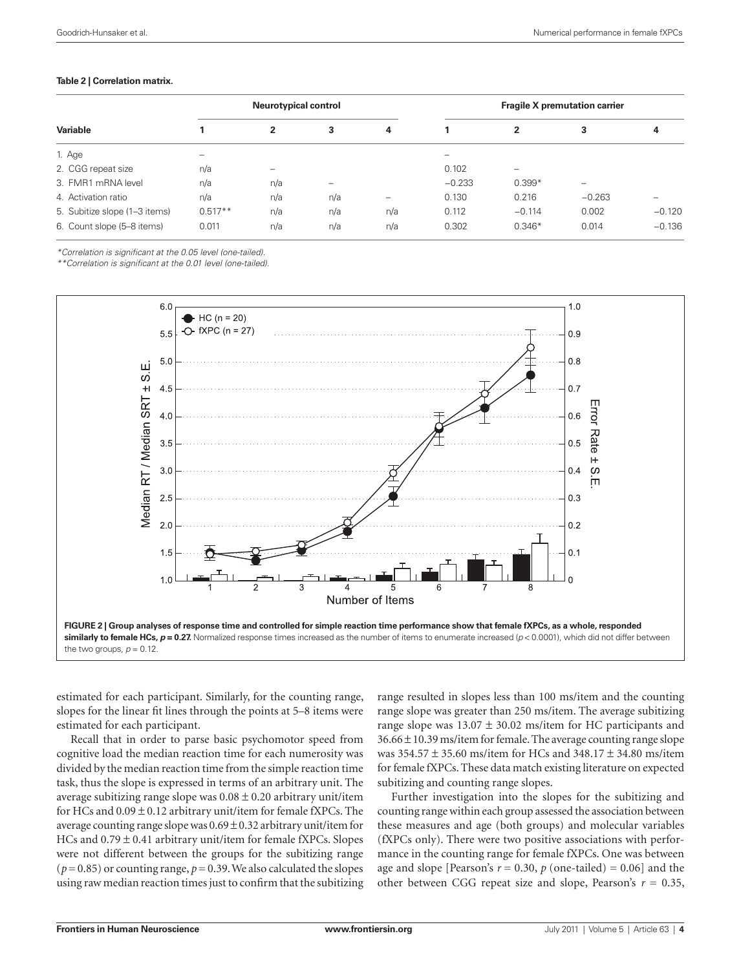#### **Table 2 | Correlation matrix.**

|                               |           | <b>Neurotypical control</b> |     |                          | <b>Fragile X premutation carrier</b> |                          |          |                          |  |
|-------------------------------|-----------|-----------------------------|-----|--------------------------|--------------------------------------|--------------------------|----------|--------------------------|--|
| Variable                      |           | 2                           | 3   | 4                        |                                      | $\mathbf{2}$             | 3        | 4                        |  |
| 1. Age                        | -         |                             |     |                          |                                      |                          |          |                          |  |
| 2. CGG repeat size            | n/a       | -                           |     |                          | 0.102                                | $\overline{\phantom{0}}$ |          |                          |  |
| 3. FMR1 mRNA level            | n/a       | n/a                         |     |                          | $-0.233$                             | $0.399*$                 |          |                          |  |
| 4. Activation ratio           | n/a       | n/a                         | n/a | $\overline{\phantom{0}}$ | 0.130                                | 0.216                    | $-0.263$ | $\overline{\phantom{0}}$ |  |
| 5. Subitize slope (1-3 items) | $0.517**$ | n/a                         | n/a | n/a                      | 0.112                                | $-0.114$                 | 0.002    | $-0.120$                 |  |
| 6. Count slope (5–8 items)    | 0.011     | n/a                         | n/a | n/a                      | 0.302                                | $0.346*$                 | 0.014    | $-0.136$                 |  |

*\*Correlation is significant at the 0.05 level (one-tailed).*

*\*\*Correlation is significant at the 0.01 level (one-tailed).*



estimated for each participant. Similarly, for the counting range, slopes for the linear fit lines through the points at 5–8 items were estimated for each participant.

Recall that in order to parse basic psychomotor speed from cognitive load the median reaction time for each numerosity was divided by the median reaction time from the simple reaction time task, thus the slope is expressed in terms of an arbitrary unit. The average subitizing range slope was  $0.08 \pm 0.20$  arbitrary unit/item for HCs and  $0.09 \pm 0.12$  arbitrary unit/item for female fXPCs. The average counting range slope was  $0.69 \pm 0.32$  arbitrary unit/item for HCs and  $0.79 \pm 0.41$  arbitrary unit/item for female fXPCs. Slopes were not different between the groups for the subitizing range  $(p=0.85)$  or counting range,  $p=0.39$ . We also calculated the slopes using raw median reaction times just to confirm that the subitizing

range resulted in slopes less than 100 ms/item and the counting range slope was greater than 250 ms/item. The average subitizing range slope was  $13.07 \pm 30.02$  ms/item for HC participants and  $36.66 \pm 10.39$  ms/item for female. The average counting range slope was 354.57 ± 35.60 ms/item for HCs and 348.17 ± 34.80 ms/item for female fXPCs. These data match existing literature on expected subitizing and counting range slopes.

Further investigation into the slopes for the subitizing and counting range within each group assessed the association between these measures and age (both groups) and molecular variables (fXPCs only). There were two positive associations with performance in the counting range for female fXPCs. One was between age and slope [Pearson's  $r = 0.30$ ,  $p$  (one-tailed) = 0.06] and the other between CGG repeat size and slope, Pearson's  $r = 0.35$ ,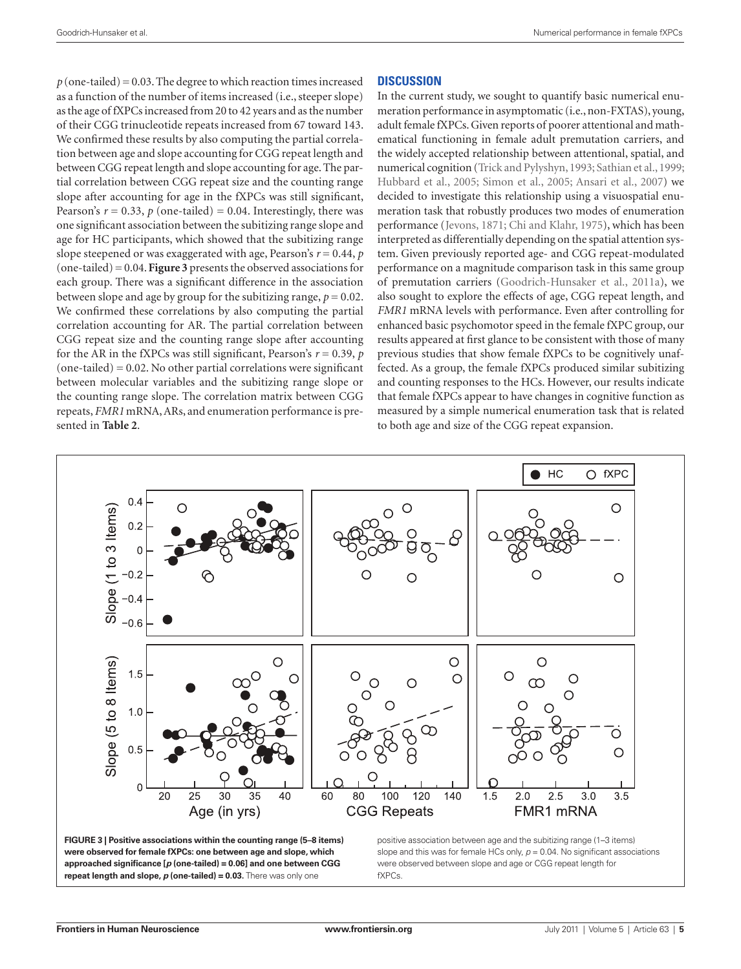$p$  (one-tailed) = 0.03. The degree to which reaction times increased as a function of the number of items increased (i.e., steeper slope) as the age of fXPCs increased from 20 to 42 years and as the number of their CGG trinucleotide repeats increased from 67 toward 143. We confirmed these results by also computing the partial correlation between age and slope accounting for CGG repeat length and between CGG repeat length and slope accounting for age. The partial correlation between CGG repeat size and the counting range slope after accounting for age in the fXPCs was still significant, Pearson's  $r = 0.33$ ,  $p$  (one-tailed) = 0.04. Interestingly, there was one significant association between the subitizing range slope and age for HC participants, which showed that the subitizing range slope steepened or was exaggerated with age, Pearson's  $r = 0.44$ ,  $p$ (one-tailed) = 0.04. **Figure 3** presents the observed associations for each group. There was a significant difference in the association between slope and age by group for the subitizing range,  $p = 0.02$ . We confirmed these correlations by also computing the partial correlation accounting for AR. The partial correlation between CGG repeat size and the counting range slope after accounting for the AR in the fXPCs was still significant, Pearson's  $r = 0.39$ ,  $p$  $(one-tailed) = 0.02$ . No other partial correlations were significant between molecular variables and the subitizing range slope or the counting range slope. The correlation matrix between CGG repeats, *FMR1* mRNA, ARs, and enumeration performance is presented in **Table 2**.

## **DISCUSSION**

In the current study, we sought to quantify basic numerical enumeration performance in asymptomatic (i.e., non-FXTAS), young, adult female fXPCs. Given reports of poorer attentional and mathematical functioning in female adult premutation carriers, and the widely accepted relationship between attentional, spatial, and numerical cognition (Trick and Pylyshyn, 1993; Sathian et al., 1999; Hubbard et al., 2005; Simon et al., 2005; Ansari et al., 2007) we decided to investigate this relationship using a visuospatial enumeration task that robustly produces two modes of enumeration performance (Jevons, 1871; Chi and Klahr, 1975), which has been interpreted as differentially depending on the spatial attention system. Given previously reported age- and CGG repeat-modulated performance on a magnitude comparison task in this same group of premutation carriers (Goodrich-Hunsaker et al., 2011a), we also sought to explore the effects of age, CGG repeat length, and *FMR1* mRNA levels with performance. Even after controlling for enhanced basic psychomotor speed in the female fXPC group, our results appeared at first glance to be consistent with those of many previous studies that show female fXPCs to be cognitively unaffected. As a group, the female fXPCs produced similar subitizing and counting responses to the HCs. However, our results indicate that female fXPCs appear to have changes in cognitive function as measured by a simple numerical enumeration task that is related to both age and size of the CGG repeat expansion.





slope and this was for female HCs only,  $p = 0.04$ . No significant associations were observed between slope and age or CGG repeat length for fXPCs.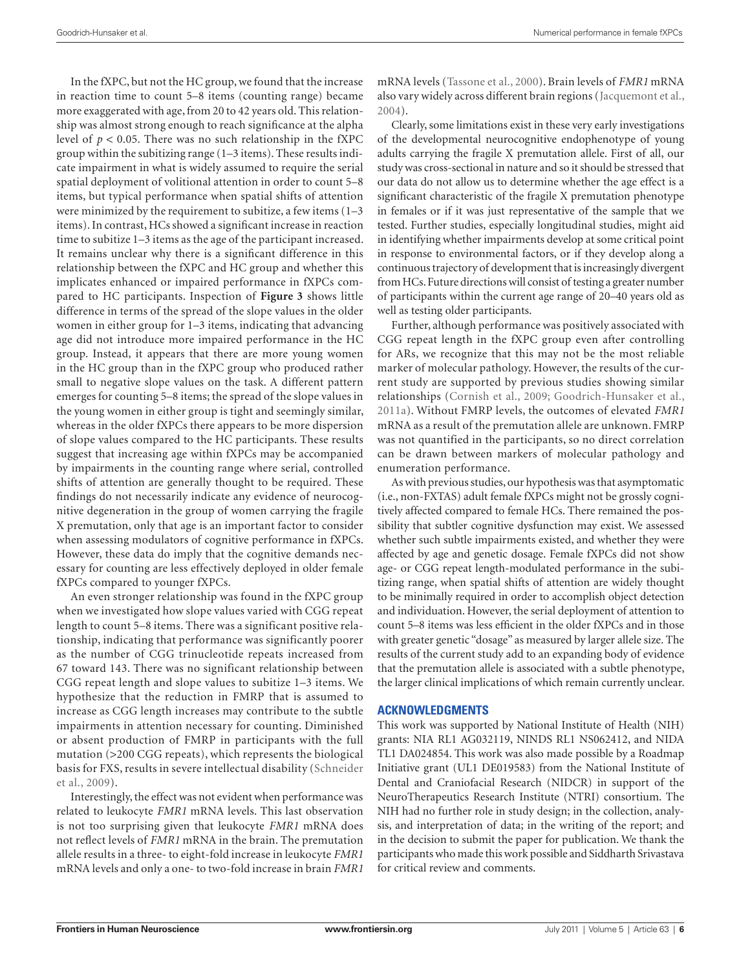In the fXPC, but not the HC group, we found that the increase in reaction time to count 5–8 items (counting range) became more exaggerated with age, from 20 to 42 years old. This relationship was almost strong enough to reach significance at the alpha level of *p* < 0.05. There was no such relationship in the fXPC group within the subitizing range (1–3 items). These results indicate impairment in what is widely assumed to require the serial spatial deployment of volitional attention in order to count 5–8 items, but typical performance when spatial shifts of attention were minimized by the requirement to subitize, a few items (1–3 items). In contrast, HCs showed a significant increase in reaction time to subitize 1–3 items as the age of the participant increased. It remains unclear why there is a significant difference in this relationship between the fXPC and HC group and whether this implicates enhanced or impaired performance in fXPCs compared to HC participants. Inspection of **Figure 3** shows little difference in terms of the spread of the slope values in the older women in either group for 1–3 items, indicating that advancing age did not introduce more impaired performance in the HC group. Instead, it appears that there are more young women in the HC group than in the fXPC group who produced rather small to negative slope values on the task. A different pattern emerges for counting 5–8 items; the spread of the slope values in the young women in either group is tight and seemingly similar, whereas in the older fXPCs there appears to be more dispersion of slope values compared to the HC participants. These results suggest that increasing age within fXPCs may be accompanied by impairments in the counting range where serial, controlled shifts of attention are generally thought to be required. These findings do not necessarily indicate any evidence of neurocognitive degeneration in the group of women carrying the fragile X premutation, only that age is an important factor to consider when assessing modulators of cognitive performance in fXPCs. However, these data do imply that the cognitive demands necessary for counting are less effectively deployed in older female fXPCs compared to younger fXPCs.

An even stronger relationship was found in the fXPC group when we investigated how slope values varied with CGG repeat length to count 5–8 items. There was a significant positive relationship, indicating that performance was significantly poorer as the number of CGG trinucleotide repeats increased from 67 toward 143. There was no significant relationship between CGG repeat length and slope values to subitize 1–3 items. We hypothesize that the reduction in FMRP that is assumed to increase as CGG length increases may contribute to the subtle impairments in attention necessary for counting. Diminished or absent production of FMRP in participants with the full mutation (>200 CGG repeats), which represents the biological basis for FXS, results in severe intellectual disability (Schneider et al., 2009).

Interestingly, the effect was not evident when performance was related to leukocyte *FMR1* mRNA levels. This last observation is not too surprising given that leukocyte *FMR1* mRNA does not reflect levels of *FMR1* mRNA in the brain. The premutation allele results in a three- to eight-fold increase in leukocyte *FMR1* mRNA levels and only a one- to two-fold increase in brain *FMR1* mRNA levels (Tassone et al., 2000). Brain levels of *FMR1* mRNA also vary widely across different brain regions (Jacquemont et al., 2004).

Clearly, some limitations exist in these very early investigations of the developmental neurocognitive endophenotype of young adults carrying the fragile X premutation allele. First of all, our study was cross-sectional in nature and so it should be stressed that our data do not allow us to determine whether the age effect is a significant characteristic of the fragile X premutation phenotype in females or if it was just representative of the sample that we tested. Further studies, especially longitudinal studies, might aid in identifying whether impairments develop at some critical point in response to environmental factors, or if they develop along a continuous trajectory of development that is increasingly divergent from HCs. Future directions will consist of testing a greater number of participants within the current age range of 20–40 years old as well as testing older participants.

Further, although performance was positively associated with CGG repeat length in the fXPC group even after controlling for ARs, we recognize that this may not be the most reliable marker of molecular pathology. However, the results of the current study are supported by previous studies showing similar relationships (Cornish et al., 2009; Goodrich-Hunsaker et al., 2011a). Without FMRP levels, the outcomes of elevated *FMR1* mRNA as a result of the premutation allele are unknown. FMRP was not quantified in the participants, so no direct correlation can be drawn between markers of molecular pathology and enumeration performance.

As with previous studies, our hypothesis was that asymptomatic (i.e., non-FXTAS) adult female fXPCs might not be grossly cognitively affected compared to female HCs. There remained the possibility that subtler cognitive dysfunction may exist. We assessed whether such subtle impairments existed, and whether they were affected by age and genetic dosage. Female fXPCs did not show age- or CGG repeat length-modulated performance in the subitizing range, when spatial shifts of attention are widely thought to be minimally required in order to accomplish object detection and individuation. However, the serial deployment of attention to count 5–8 items was less efficient in the older fXPCs and in those with greater genetic "dosage" as measured by larger allele size. The results of the current study add to an expanding body of evidence that the premutation allele is associated with a subtle phenotype, the larger clinical implications of which remain currently unclear.

## **ACKNOWLEDGMENTS**

This work was supported by National Institute of Health (NIH) grants: NIA RL1 AG032119, NINDS RL1 NS062412, and NIDA TL1 DA024854. This work was also made possible by a Roadmap Initiative grant (UL1 DE019583) from the National Institute of Dental and Craniofacial Research (NIDCR) in support of the NeuroTherapeutics Research Institute (NTRI) consortium. The NIH had no further role in study design; in the collection, analysis, and interpretation of data; in the writing of the report; and in the decision to submit the paper for publication. We thank the participants who made this work possible and Siddharth Srivastava for critical review and comments.